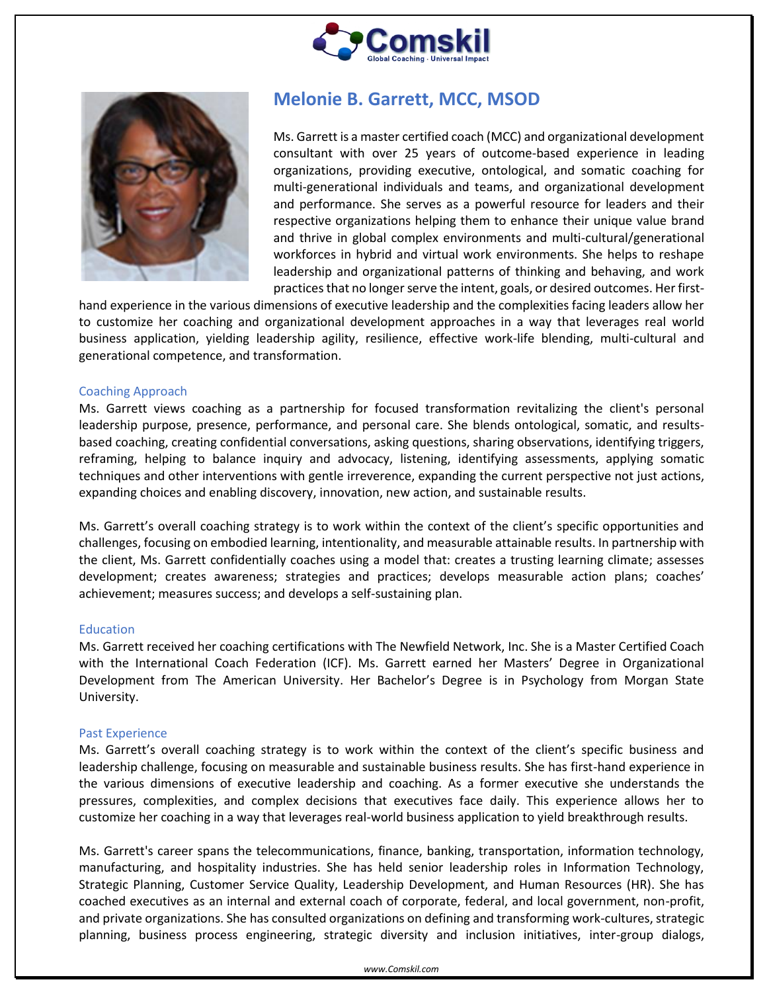



# **Melonie B. Garrett, MCC, MSOD**

Ms. Garrett is a master certified coach (MCC) and organizational development consultant with over 25 years of outcome-based experience in leading organizations, providing executive, ontological, and somatic coaching for multi-generational individuals and teams, and organizational development and performance. She serves as a powerful resource for leaders and their respective organizations helping them to enhance their unique value brand and thrive in global complex environments and multi-cultural/generational workforces in hybrid and virtual work environments. She helps to reshape leadership and organizational patterns of thinking and behaving, and work practices that no longer serve the intent, goals, or desired outcomes. Her first-

hand experience in the various dimensions of executive leadership and the complexities facing leaders allow her to customize her coaching and organizational development approaches in a way that leverages real world business application, yielding leadership agility, resilience, effective work-life blending, multi-cultural and generational competence, and transformation.

## Coaching Approach

Ms. Garrett views coaching as a partnership for focused transformation revitalizing the client's personal leadership purpose, presence, performance, and personal care. She blends ontological, somatic, and resultsbased coaching, creating confidential conversations, asking questions, sharing observations, identifying triggers, reframing, helping to balance inquiry and advocacy, listening, identifying assessments, applying somatic techniques and other interventions with gentle irreverence, expanding the current perspective not just actions, expanding choices and enabling discovery, innovation, new action, and sustainable results.

Ms. Garrett's overall coaching strategy is to work within the context of the client's specific opportunities and challenges, focusing on embodied learning, intentionality, and measurable attainable results. In partnership with the client, Ms. Garrett confidentially coaches using a model that: creates a trusting learning climate; assesses development; creates awareness; strategies and practices; develops measurable action plans; coaches' achievement; measures success; and develops a self-sustaining plan.

#### Education

Ms. Garrett received her coaching certifications with The Newfield Network, Inc. She is a Master Certified Coach with the International Coach Federation (ICF). Ms. Garrett earned her Masters' Degree in Organizational Development from The American University. Her Bachelor's Degree is in Psychology from Morgan State University.

#### Past Experience

Ms. Garrett's overall coaching strategy is to work within the context of the client's specific business and leadership challenge, focusing on measurable and sustainable business results. She has first-hand experience in the various dimensions of executive leadership and coaching. As a former executive she understands the pressures, complexities, and complex decisions that executives face daily. This experience allows her to customize her coaching in a way that leverages real-world business application to yield breakthrough results.

Ms. Garrett's career spans the telecommunications, finance, banking, transportation, information technology, manufacturing, and hospitality industries. She has held senior leadership roles in Information Technology, Strategic Planning, Customer Service Quality, Leadership Development, and Human Resources (HR). She has coached executives as an internal and external coach of corporate, federal, and local government, non-profit, and private organizations. She has consulted organizations on defining and transforming work-cultures, strategic planning, business process engineering, strategic diversity and inclusion initiatives, inter-group dialogs,